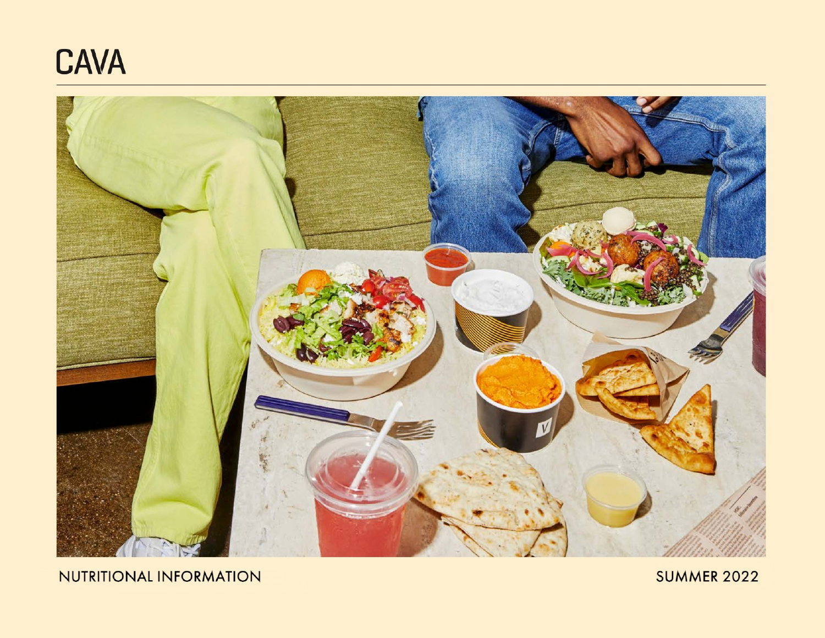# **CAVA**



## NUTRITIONAL INFORMATION

**SUMMER 2022**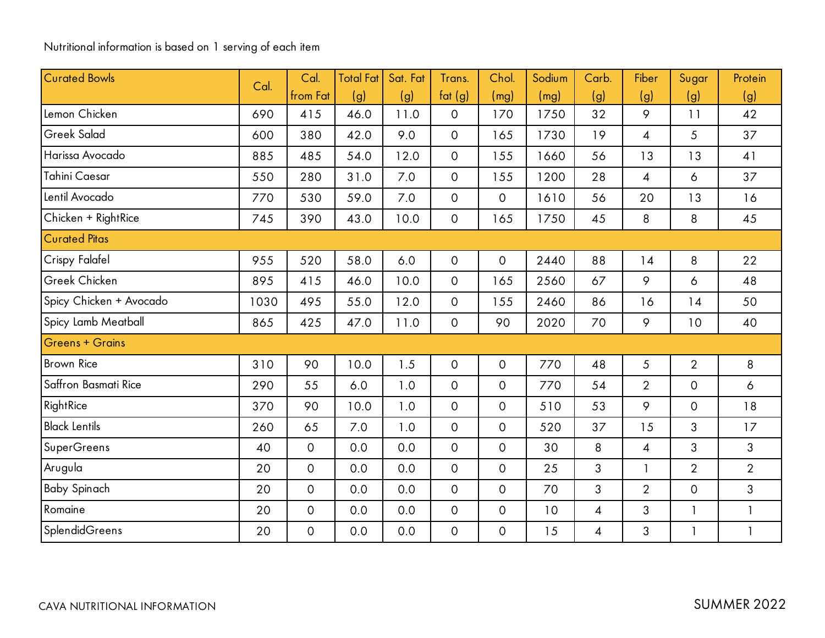#### Nutritional information is based on 1 serving of each item

| <b>Curated Bowls</b>    | Cal. | Cal.                | <b>Total Fat</b> | Sat. Fat | Trans.              | Chol.        | Sodium | Carb.                    | Fiber                    | Sugar          | Protein        |
|-------------------------|------|---------------------|------------------|----------|---------------------|--------------|--------|--------------------------|--------------------------|----------------|----------------|
|                         |      | from Fat            | (g)              | (g)      | fct(g)              | (mg)         | (mg)   | (g)                      | (g)                      | (g)            | (g)            |
| Lemon Chicken           | 690  | 415                 | 46.0             | 11.0     | 0                   | 170          | 1750   | 32                       | 9                        | 11             | 42             |
| Greek Salad             | 600  | 380                 | 42.0             | 9.0      | $\mathbf{O}$        | 165          | 1730   | 19                       | $\overline{\mathcal{A}}$ | 5              | 37             |
| Harissa Avocado         | 885  | 485                 | 54.0             | 12.0     | $\overline{O}$      | 155          | 1660   | 56                       | 13                       | 13             | 41             |
| Tahini Caesar           | 550  | 280                 | 31.0             | 7.0      | 0                   | 155          | 1200   | 28                       | $\overline{4}$           | 6              | 37             |
| Lentil Avocado          | 770  | 530                 | 59.0             | 7.0      | $\mathbf{O}$        | $\circ$      | 1610   | 56                       | 20                       | 13             | 16             |
| Chicken + RightRice     | 745  | 390                 | 43.0             | 10.0     | $\mathsf{O}\xspace$ | 165          | 1750   | 45                       | 8                        | 8              | 45             |
| <b>Curated Pitas</b>    |      |                     |                  |          |                     |              |        |                          |                          |                |                |
| Crispy Falafel          | 955  | 520                 | 58.0             | 6.0      | $\mathsf{O}\xspace$ | $\mathbf 0$  | 2440   | 88                       | 14                       | 8              | 22             |
| Greek Chicken           | 895  | 415                 | 46.0             | 10.0     | $\mathbf 0$         | 165          | 2560   | 67                       | 9                        | 6              | 48             |
| Spicy Chicken + Avocado | 1030 | 495                 | 55.0             | 12.0     | $\mathbf{O}$        | 155          | 2460   | 86                       | 16                       | 14             | 50             |
| Spicy Lamb Meatball     | 865  | 425                 | 47.0             | 11.0     | $\mathsf{O}\xspace$ | 90           | 2020   | 70                       | 9                        | 10             | 40             |
| <b>Greens + Grains</b>  |      |                     |                  |          |                     |              |        |                          |                          |                |                |
| <b>Brown Rice</b>       | 310  | 90                  | 10.0             | 1.5      | $\mathbf 0$         | $\mathsf{O}$ | 770    | 48                       | 5                        | $\overline{2}$ | 8              |
| Saffron Basmati Rice    | 290  | 55                  | 6.0              | 1.0      | $\mathbf 0$         | $\mathbf 0$  | 770    | 54                       | $\overline{2}$           | $\mathbf 0$    | 6              |
| RightRice               | 370  | 90                  | 10.0             | 1.0      | $\mathbf 0$         | $\mathsf{O}$ | 510    | 53                       | 9                        | $\mathbf 0$    | 18             |
| <b>Black Lentils</b>    | 260  | 65                  | 7.0              | 1.0      | $\mathbf 0$         | $\mathsf{O}$ | 520    | 37                       | 15                       | 3              | 17             |
| SuperGreens             | 40   | $\mathsf{O}$        | 0.0              | 0.0      | $\mathbf 0$         | $\mathsf{O}$ | 30     | 8                        | $\overline{4}$           | 3              | 3              |
| Arugula                 | 20   | $\mathbf 0$         | 0.0              | 0.0      | $\mathbf 0$         | $\mathsf{O}$ | 25     | 3                        | $\mathbf{1}$             | $\overline{2}$ | $\overline{2}$ |
| <b>Baby Spinach</b>     | 20   | $\mathsf{O}$        | 0.0              | 0.0      | 0                   | $\mathsf{O}$ | 70     | 3                        | $\overline{2}$           | $\mathbf 0$    | 3              |
| Romaine                 | 20   | $\mathsf{O}\xspace$ | 0.0              | 0.0      | $\mathbf 0$         | $\mathbf 0$  | 10     | $\overline{\mathcal{A}}$ | 3                        | $\mathbf{1}$   | $\mathbf{1}$   |
| SplendidGreens          | 20   | $\mathsf{O}$        | 0.0              | 0.0      | $\mathbf 0$         | $\mathbf 0$  | 15     | $\overline{\mathcal{A}}$ | 3                        | $\mathbf{1}$   | $\mathbf{1}$   |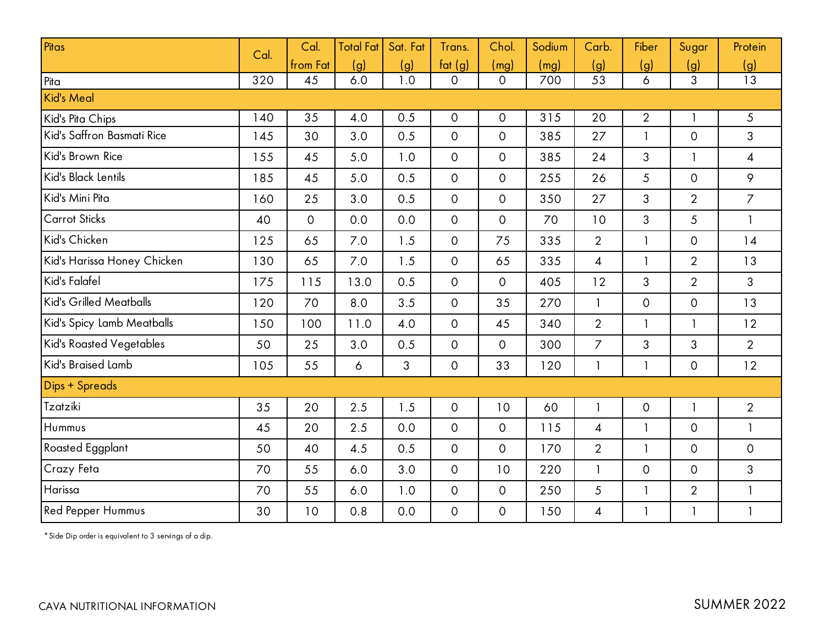| Pitas                       | Cal. | Cal.        | <b>Total Fat</b> | Sat. Fat     | Trans.              | Chol.               | Sodium | Carb.                    | Fiber          | Sugar          | Protein            |
|-----------------------------|------|-------------|------------------|--------------|---------------------|---------------------|--------|--------------------------|----------------|----------------|--------------------|
|                             |      | from Fat    | (g)              | (g)          | fat $(g)$           | (mg)                | (mg)   | (g)                      | (g)            | <u>(g)</u>     | (g)                |
| Pita                        | 320  | 45          | 6.0              | 1.0          | $\Omega$            | $\mathbf 0$         | 700    | 53                       | 6              | 3              | 13                 |
| Kid's Meal                  |      |             |                  |              |                     |                     |        |                          |                |                |                    |
| Kid's Pita Chips            | 140  | 35          | 4.0              | 0.5          | $\mathbf 0$         | $\mathbf 0$         | 315    | 20                       | $\overline{2}$ | $\mathbf{1}$   | $\mathfrak{S}$     |
| Kid's Saffron Basmati Rice  | 145  | 30          | 3.0              | 0.5          | $\overline{O}$      | $\mathsf{O}$        | 385    | 27                       |                | $\overline{O}$ | 3                  |
| Kid's Brown Rice            | 155  | 45          | 5.0              | 1.0          | $\mathbf 0$         | $\mathsf{O}$        | 385    | 24                       | 3              | $\mathbf{1}$   | $\overline{4}$     |
| Kid's Black Lentils         | 185  | 45          | 5.0              | 0.5          | $\overline{0}$      | $\mathsf{O}$        | 255    | 26                       | 5              | $\overline{0}$ | $\mathsf{\varphi}$ |
| Kid's Mini Pita             | 160  | 25          | 3.0              | 0.5          | $\mathbf 0$         | $\mathsf{O}$        | 350    | 27                       | 3              | $\overline{2}$ | $\overline{7}$     |
| <b>Carrot Sticks</b>        | 40   | $\mathbf 0$ | 0.0              | 0.0          | $\mathbf{O}$        | $\mathsf{O}$        | 70     | 10                       | $\mathfrak{S}$ | 5              | $\mathbf{1}$       |
| Kid's Chicken               | 125  | 65          | 7.0              | 1.5          | $\mathbf 0$         | 75                  | 335    | $\overline{2}$           |                | $\mathsf{O}$   | 14                 |
| Kid's Harissa Honey Chicken | 130  | 65          | 7.0              | 1.5          | $\mathbf 0$         | 65                  | 335    | $\overline{4}$           | $\mathbf{1}$   | $\overline{2}$ | 13                 |
| Kid's Falafel               | 175  | 115         | 13.0             | 0.5          | $\overline{0}$      | $\mathbf 0$         | 405    | 12                       | $\mathfrak{S}$ | $\overline{2}$ | $\mathfrak{S}$     |
| Kid's Grilled Meatballs     | 120  | 70          | 8.0              | 3.5          | $\mathbf 0$         | 35                  | 270    | $\mathbf{1}$             | $\mathbf 0$    | $\mathsf{O}$   | 13                 |
| Kid's Spicy Lamb Meatballs  | 150  | 100         | 11.0             | 4.0          | $\circ$             | 45                  | 340    | $\overline{2}$           | 1              | $\mathbf{1}$   | 12                 |
| Kid's Roasted Vegetables    | 50   | 25          | 3.0              | 0.5          | $\mathsf{O}$        | $\mathsf{O}$        | 300    | $\overline{7}$           | 3              | 3              | 2                  |
| Kid's Braised Lamb          | 105  | 55          | 6                | $\mathbf{3}$ | $\mathsf{O}\xspace$ | 33                  | 120    | $\mathbf{1}$             | $\mathbf{1}$   | $\mathsf{O}$   | 12                 |
| Dips + Spreads              |      |             |                  |              |                     |                     |        |                          |                |                |                    |
| Tzatziki                    | 35   | 20          | 2.5              | 1.5          | $\mathbf 0$         | 10                  | 60     |                          | $\mathsf{O}$   | $\mathbf{1}$   | $\overline{2}$     |
| Hummus                      | 45   | 20          | 2.5              | 0.0          | $\mathbf 0$         | $\mathsf{O}$        | 115    | $\overline{4}$           | $\mathbf{1}$   | $\mathbf 0$    | $\mathbf{I}$       |
| Roasted Eggplant            | 50   | 40          | 4.5              | 0.5          | $\mathsf{O}$        | $\mathsf{O}$        | 170    | $\overline{2}$           | $\mathbf{1}$   | $\mathsf{O}$   | $\mathsf{O}$       |
| Crazy Feta                  | 70   | 55          | 6.0              | 3.0          | $\mathsf{O}$        | 10                  | 220    | $\mathbf{1}$             | $\mathbf 0$    | $\mathsf{O}$   | $\mathbf{3}$       |
| Harissa                     | 70   | 55          | 6.0              | 1.0          | $\mathbf 0$         | $\circ$             | 250    | 5                        | $\mathbf{1}$   | $\overline{2}$ | $\mathbf{1}$       |
| Red Pepper Hummus           | 30   | 10          | 0.8              | 0.0          | $\mathbf 0$         | $\mathsf{O}\xspace$ | 150    | $\overline{\mathcal{A}}$ |                | $\mathbf{1}$   | $\mathbf{1}$       |

\*Side Dip order is equivalent to 3 servings of a dip.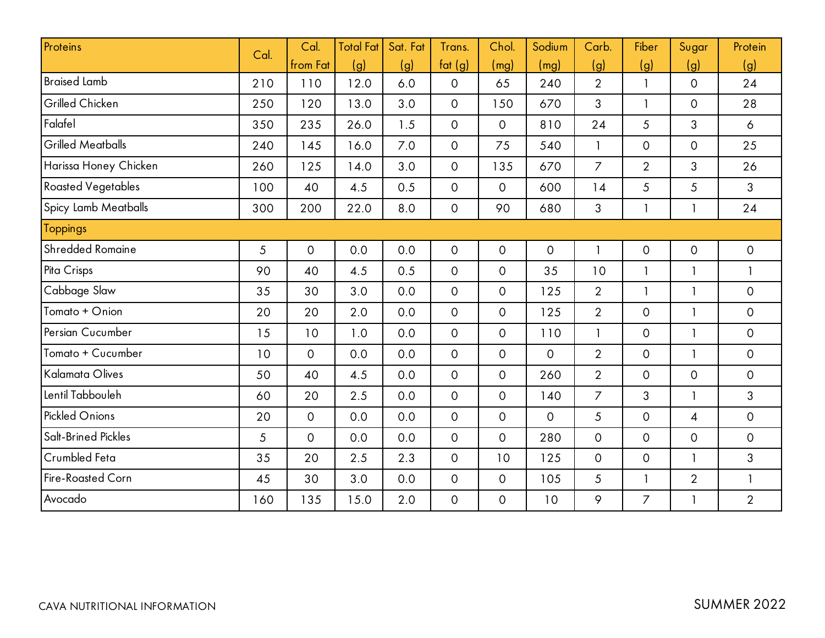| Proteins                  | Cal. | Cal.           | <b>Total Fat</b> | Sat. Fat | Trans.              | Chol.               | Sodium         | Carb.          | Fiber          | Sugar          | Protein        |
|---------------------------|------|----------------|------------------|----------|---------------------|---------------------|----------------|----------------|----------------|----------------|----------------|
|                           |      | from Fat       | (g)              | (g)      | fat $(g)$           | (mg)                | (mg)           | (g)            | (g)            | (g)            | (g)            |
| <b>Braised Lamb</b>       | 210  | 110            | 12.0             | 6.0      | $\mathbf 0$         | 65                  | 240            | $\overline{2}$ | 1              | $\mathbf 0$    | 24             |
| Grilled Chicken           | 250  | 120            | 13.0             | 3.0      | $\mathsf{O}$        | 150                 | 670            | 3              | $\mathbf{1}$   | $\mathbf 0$    | 28             |
| Falafel                   | 350  | 235            | 26.0             | 1.5      | $\mathbf 0$         | $\mathsf{O}\xspace$ | 810            | 24             | 5              | 3              | 6              |
| <b>Grilled Meatballs</b>  | 240  | 145            | 16.0             | 7.0      | $\mathsf{O}\xspace$ | 75                  | 540            |                | $\mathsf{O}$   | $\mathbf 0$    | 25             |
| Harissa Honey Chicken     | 260  | 125            | 14.0             | 3.0      | $\mathbf 0$         | 135                 | 670            | $\overline{7}$ | $\overline{2}$ | 3              | 26             |
| <b>Roasted Vegetables</b> | 100  | 40             | 4.5              | 0.5      | $\overline{0}$      | $\mathbf 0$         | 600            | 14             | 5              | 5              | 3              |
| Spicy Lamb Meatballs      | 300  | 200            | 22.0             | 8.0      | 0                   | 90                  | 680            | 3              | $\mathbf{1}$   | 1              | 24             |
| <b>Toppings</b>           |      |                |                  |          |                     |                     |                |                |                |                |                |
| Shredded Romaine          | 5    | $\overline{O}$ | 0.0              | 0.0      | $\mathsf{O}$        | $\mathbf 0$         | $\mathsf{O}$   | $\mathbf{1}$   | $\mathsf{O}$   | $\mathbf 0$    | $\mathsf O$    |
| Pita Crisps               | 90   | 40             | 4.5              | 0.5      | $\mathbf 0$         | $\circ$             | 35             | 10             | $\mathbf{1}$   | $\mathbf{1}$   | $\mathbf{1}$   |
| Cabbage Slaw              | 35   | 30             | 3.0              | 0.0      | $\mathbf 0$         | $\mathbf 0$         | 125            | $\overline{2}$ | $\mathbf{1}$   | $\mathbf{1}$   | $\mathsf{O}$   |
| Tomato + Onion            | 20   | 20             | 2.0              | 0.0      | $\mathbf 0$         | $\mathsf{O}\xspace$ | 125            | $\overline{2}$ | $\overline{O}$ | 1              | $\mathsf{O}$   |
| Persian Cucumber          | 15   | 10             | 1.0              | 0.0      | $\mathbf 0$         | $\mathsf{O}\xspace$ | 110            | $\mathbf{1}$   | $\mathsf{O}$   | $\mathbf{1}$   | $\mathsf{O}$   |
| Tomato + Cucumber         | 10   | $\overline{O}$ | 0.0              | 0.0      | $\mathbf 0$         | $\mathbf 0$         | $\mathsf{O}$   | $\overline{2}$ | $\overline{O}$ | $\mathbf{1}$   | $\mathsf{O}$   |
| <b>Kalamata Olives</b>    | 50   | 40             | 4.5              | 0.0      | $\mathsf{O}\xspace$ | $\mathsf{O}\xspace$ | 260            | $\overline{2}$ | $\mathsf{O}$   | $\mathbf 0$    | $\overline{O}$ |
| Lentil Tabbouleh          | 60   | 20             | 2.5              | 0.0      | $\mathsf{O}\xspace$ | $\mathsf{O}\xspace$ | 140            | $\overline{7}$ | $\mathfrak{S}$ | $\mathbf{1}$   | 3              |
| Pickled Onions            | 20   | $\overline{O}$ | 0.0              | 0.0      | $\overline{0}$      | $\mathbf 0$         | $\overline{0}$ | 5              | $\overline{O}$ | $\overline{4}$ | $\overline{0}$ |
| Salt-Brined Pickles       | 5    | $\mathsf{O}$   | 0.0              | 0.0      | $\mathbf 0$         | $\mathsf{O}\xspace$ | 280            | $\mathsf{O}$   | $\overline{O}$ | $\mathbf 0$    | $\mathsf{O}$   |
| Crumbled Feta             | 35   | 20             | 2.5              | 2.3      | $\mathbf 0$         | 10                  | 125            | $\mathsf{O}$   | $\mathsf{O}$   | 1              | 3              |
| Fire-Roasted Corn         | 45   | 30             | 3.0              | 0.0      | $\mathbf 0$         | $\mathbf 0$         | 105            | 5              | $\mathbf{1}$   | $\overline{2}$ | $\mathbf{1}$   |
| Avocado                   | 160  | 135            | 15.0             | 2.0      | $\mathbf 0$         | $\mathsf{O}\xspace$ | 10             | 9              | $\overline{7}$ | 1              | $\overline{2}$ |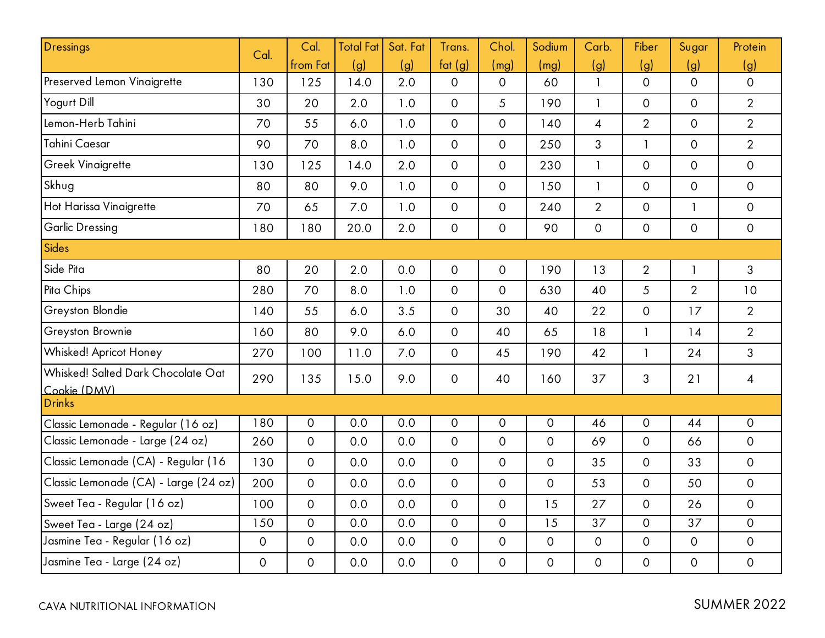| Dressings                                          | Cal.                | Cal.           | <b>Total Fat</b> | Sat. Fat | Trans.              | Chol.               | Sodium         | Carb.          | Fiber                    | Sugar          | Protein             |
|----------------------------------------------------|---------------------|----------------|------------------|----------|---------------------|---------------------|----------------|----------------|--------------------------|----------------|---------------------|
|                                                    |                     | from Fat       | (g)              | (g)      | $f$ at (g)          | (mg)                | (mg)           | (g)            | (g)                      | (g)            | (g)                 |
| Preserved Lemon Vinaigrette                        | 130                 | 125            | 14.0             | 2.0      | $\mathbf{O}$        | $\mathbf 0$         | 60             | $\mathbf{1}$   | $\overline{O}$           | $\overline{O}$ | $\mathsf{O}$        |
| Yogurt Dill                                        | 30                  | 20             | 2.0              | 1.0      | $\mathsf{O}\xspace$ | 5                   | 190            | $\mathbf{1}$   | $\mathsf{O}$             | $\overline{O}$ | $\overline{2}$      |
| Lemon-Herb Tahini                                  | 70                  | 55             | 6.0              | 1.0      | $\mathsf{O}$        | $\mathsf{O}\xspace$ | 140            | $\overline{4}$ | $\overline{2}$           | $\overline{O}$ | $\overline{2}$      |
| Tahini Caesar                                      | 90                  | 70             | 8.0              | 1.0      | $\mathbf{O}$        | $\mathsf{O}\xspace$ | 250            | 3              | $\overline{1}$           | $\overline{O}$ | $\overline{2}$      |
| <b>Greek Vinaigrette</b>                           | 130                 | 125            | 14.0             | 2.0      | $\mathbf{O}$        | $\mathsf{O}\xspace$ | 230            | $\mathbf{1}$   | $\mathsf{O}$             | $\overline{O}$ | $\mathsf{O}$        |
| Skhug                                              | 80                  | 80             | 9.0              | 1.0      | $\mathbf{O}$        | $\mathsf{O}\xspace$ | 150            | $\mathbf{1}$   | $\mathsf{O}$             | $\overline{O}$ | $\mathsf{O}$        |
| Hot Harissa Vinaigrette                            | 70                  | 65             | 7.0              | 1.0      | $\mathsf{O}$        | $\mathbf 0$         | 240            | $\overline{2}$ | $\overline{O}$           | $\mathbf{1}$   | $\mathsf{O}$        |
| Garlic Dressing                                    | 180                 | 180            | 20.0             | 2.0      | $\mathsf{O}\xspace$ | $\mathsf O$         | 90             | $\mathsf{O}$   | $\mathsf{O}$             | $\overline{O}$ | $\mathsf{O}\xspace$ |
| <b>Sides</b>                                       |                     |                |                  |          |                     |                     |                |                |                          |                |                     |
| Side Pita                                          | 80                  | 20             | 2.0              | 0.0      | $\mathbf 0$         | $\mathsf{O}\xspace$ | 190            | 13             | $\overline{2}$           | $\mathbf{1}$   | 3                   |
| Pita Chips                                         | 280                 | 70             | 8.0              | 1.0      | $\mathsf{O}\xspace$ | $\mathsf{O}\xspace$ | 630            | 40             | 5                        | $\overline{2}$ | 10                  |
| Greyston Blondie                                   | 140                 | 55             | 6.0              | 3.5      | $\mathbf 0$         | 30                  | 40             | 22             | $\mathsf{O}$             | 17             | $\overline{2}$      |
| Greyston Brownie                                   | 160                 | 80             | 9.0              | 6.0      | $\mathbf 0$         | 40                  | 65             | 18             | $\mathbf{1}$             | 14             | $\overline{2}$      |
| Whisked! Apricot Honey                             | 270                 | 100            | 11.0             | 7.0      | $\mathsf{O}$        | 45                  | 190            | 42             | $\overline{\phantom{a}}$ | 24             | 3                   |
| Whisked! Salted Dark Chocolate Oat<br>Cookie (DMV) | 290                 | 135            | 15.0             | 9.0      | $\mathbf 0$         | 40                  | 160            | 37             | 3                        | 21             | 4                   |
| <b>Drinks</b>                                      |                     |                |                  |          |                     |                     |                |                |                          |                |                     |
| Classic Lemonade - Regular (16 oz)                 | 180                 | 0              | 0.0              | 0.0      | $\mathbf 0$         | $\mathbf 0$         | $\mathbf 0$    | 46             | $\mathsf{O}$             | 44             | $\mathsf{O}$        |
| Classic Lemonade - Large (24 oz)                   | 260                 | $\mathsf{O}$   | 0.0              | 0.0      | $\mathbf 0$         | $\mathsf{O}\xspace$ | 0              | 69             | $\mathsf{O}$             | 66             | $\mathsf{O}\xspace$ |
| Classic Lemonade (CA) - Regular (16                | 130                 | $\overline{O}$ | 0.0              | 0.0      | $\mathbf 0$         | $\mathbf 0$         | $\overline{0}$ | 35             | $\mathsf{O}$             | 33             | $\mathsf{O}$        |
| Classic Lemonade (CA) - Large (24 oz)              | 200                 | $\overline{O}$ | 0.0              | 0.0      | $\overline{0}$      | $\mathbf 0$         | $\overline{O}$ | 53             | $\overline{O}$           | 50             | $\overline{O}$      |
| Sweet Tea - Regular (16 oz)                        | 100                 | $\mathsf{O}$   | 0.0              | 0.0      | $\mathbf 0$         | $\mathbf 0$         | 15             | 27             | $\overline{O}$           | 26             | $\mathsf{O}$        |
| Sweet Tea - Large (24 oz)                          | 150                 | $\mathsf{O}$   | 0.0              | 0.0      | $\mathsf{O}$        | $\mathbf 0$         | 15             | 37             | $\overline{O}$           | 37             | $\mathsf{O}$        |
| Jasmine Tea - Regular (16 oz)                      | $\mathsf{O}\xspace$ | 0              | 0.0              | 0.0      | $\mathsf{O}$        | $\mathbf 0$         | 0              | $\mathsf{O}$   | 0                        | $\mathbf 0$    | $\mathsf{O}\xspace$ |
| Jasmine Tea - Large (24 oz)                        | $\mathsf{O}\xspace$ | $\overline{O}$ | 0.0              | 0.0      | $\mathbf 0$         | $\mathsf{O}\xspace$ | $\mathbf 0$    | $\overline{0}$ | $\mathbf 0$              | $\mathbf 0$    | $\mathsf{O}\xspace$ |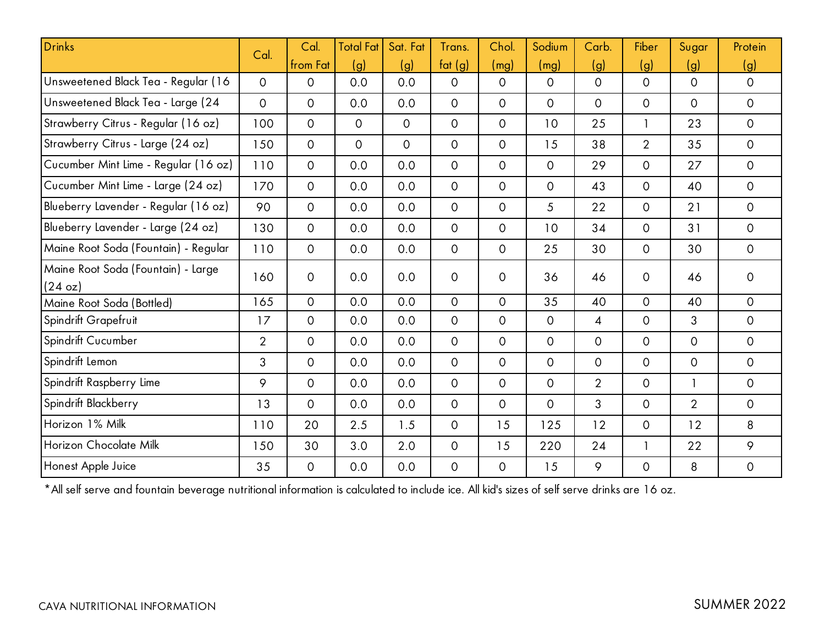| <b>Drinks</b>                                 | Cal.           | Cal.           | <b>Total Fat</b> | Sat. Fat     | Trans.         | Chol.          | Sodium         | Carb.          | Fiber          | Sugar          | Protein        |
|-----------------------------------------------|----------------|----------------|------------------|--------------|----------------|----------------|----------------|----------------|----------------|----------------|----------------|
|                                               |                | from Fat       | (g)              | (g)          | fct(g)         | (mg)           | (mg)           | (g)            | (g)            | (g)            | (g)            |
| Unsweetened Black Tea - Regular (16           | $\mathbf 0$    | $\overline{O}$ | 0.0              | 0.0          | $\mathbf{O}$   | $\mathbf 0$    | $\mathbf{O}$   | $\Omega$       | $\Omega$       | $\Omega$       | $\overline{O}$ |
| Unsweetened Black Tea - Large (24             | $\overline{O}$ | $\Omega$       | 0.0              | 0.0          | $\overline{O}$ | $\overline{0}$ | $\Omega$       | $\Omega$       | $\mathsf{O}$   | $\Omega$       | $\overline{O}$ |
| Strawberry Citrus - Regular (16 oz)           | 100            | $\overline{O}$ | $\overline{O}$   | $\mathbf{O}$ | $\mathbf{O}$   | $\mathbf 0$    | 10             | 25             | 1              | 23             | $\overline{0}$ |
| Strawberry Citrus - Large (24 oz)             | 150            | $\overline{O}$ | $\overline{O}$   | $\mathbf{O}$ | $\mathsf{O}$   | $\mathbf 0$    | 15             | 38             | $\overline{2}$ | 35             | $\overline{0}$ |
| Cucumber Mint Lime - Regular (16 oz)          | 110            | $\overline{O}$ | 0.0              | 0.0          | $\Omega$       | $\overline{0}$ | $\overline{O}$ | 29             | $\Omega$       | 27             | $\overline{O}$ |
| Cucumber Mint Lime - Large (24 oz)            | 170            | $\overline{O}$ | 0.0              | 0.0          | $\mathbf{O}$   | $\overline{0}$ | $\overline{O}$ | 43             | $\Omega$       | 40             | $\overline{O}$ |
| Blueberry Lavender - Regular (16 oz)          | 90             | $\overline{O}$ | 0.0              | 0.0          | $\overline{O}$ | $\mathbf 0$    | 5              | 22             | $\overline{O}$ | 21             | $\overline{0}$ |
| Blueberry Lavender - Large (24 oz)            | 130            | $\overline{O}$ | 0.0              | 0.0          | 0              | $\mathbf 0$    | 10             | 34             | $\overline{O}$ | 31             | $\overline{0}$ |
| Maine Root Soda (Fountain) - Regular          | 110            | $\overline{O}$ | 0.0              | 0.0          | $\overline{O}$ | $\mathbf 0$    | 25             | 30             | $\overline{O}$ | 30             | $\overline{O}$ |
| Maine Root Soda (Fountain) - Large<br>(24 oz) | 160            | $\overline{O}$ | 0.0              | 0.0          | $\overline{O}$ | $\overline{0}$ | 36             | 46             | $\Omega$       | 46             | $\mathsf{O}$   |
| Maine Root Soda (Bottled)                     | 165            | $\overline{O}$ | 0.0              | 0.0          | $\mathsf{O}$   | $\overline{O}$ | 35             | 40             | $\overline{O}$ | 40             | $\overline{O}$ |
| Spindrift Grapefruit                          | 17             | $\overline{O}$ | 0.0              | 0.0          | $\mathbf{O}$   | $\mathbf 0$    | $\overline{O}$ | 4              | $\mathbf{O}$   | 3              | $\overline{O}$ |
| Spindrift Cucumber                            | $\overline{2}$ | $\overline{O}$ | 0.0              | 0.0          | $\mathbf{O}$   | $\mathsf{O}$   | $\mathsf{O}$   | $\mathsf{O}$   | $\overline{O}$ | $\mathsf{O}$   | $\mathsf{O}$   |
| Spindrift Lemon                               | 3              | $\mathbf 0$    | 0.0              | 0.0          | $\mathbf{O}$   | $\mathbf 0$    | $\overline{O}$ | $\mathsf{O}$   | $\mathsf{O}$   | $\mathbf{O}$   | $\overline{0}$ |
| Spindrift Raspberry Lime                      | 9              | $\Omega$       | 0.0              | 0.0          | $\overline{O}$ | $\overline{0}$ | $\overline{O}$ | $\overline{2}$ | $\Omega$       | $\mathbf{1}$   | $\overline{O}$ |
| Spindrift Blackberry                          | 13             | $\Omega$       | 0.0              | 0.0          | $\mathbf{O}$   | $\overline{0}$ | $\Omega$       | 3              | $\Omega$       | $\overline{2}$ | $\overline{O}$ |
| Horizon 1% Milk                               | 110            | 20             | 2.5              | 1.5          | $\mathbf{O}$   | 15             | 125            | 12             | $\mathbf{O}$   | 12             | 8              |
| Horizon Chocolate Milk                        | 150            | 30             | 3.0              | 2.0          | $\mathbf{O}$   | 15             | 220            | 24             | $\mathbf{1}$   | 22             | 9              |
| Honest Apple Juice                            | 35             | $\mathsf{O}$   | 0.0              | 0.0          | 0              | $\mathbf 0$    | 15             | 9              | $\mathbf{O}$   | 8              | $\mathsf{O}$   |

\*All self serve and fountain beverage nutritional information is calculated to include ice. All kid's sizes of self serve drinks are 16 oz.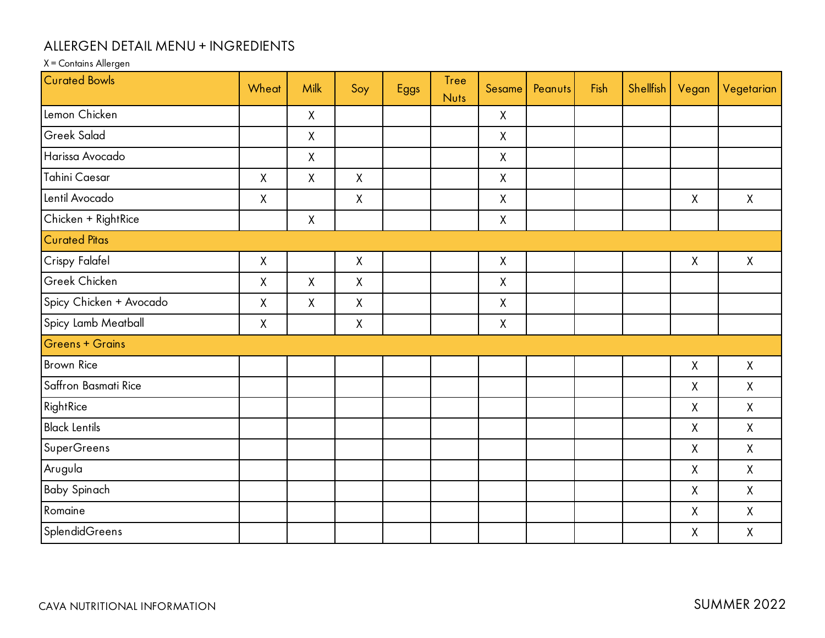### ALLERGEN DETAIL MENU + INGREDIENTS

#### X = Contains Allergen

| <b>Curated Bowls</b>    | Wheat       | Milk         | Soy          | <b>Eggs</b> | <b>Tree</b><br><b>Nuts</b> | Sesame                    | Peanuts | Fish | Shellfish | Vegan        | Vegetarian         |
|-------------------------|-------------|--------------|--------------|-------------|----------------------------|---------------------------|---------|------|-----------|--------------|--------------------|
| Lemon Chicken           |             | Χ            |              |             |                            | $\boldsymbol{X}$          |         |      |           |              |                    |
| Greek Salad             |             | $\sf X$      |              |             |                            | $\mathsf{X}$              |         |      |           |              |                    |
| Harissa Avocado         |             | $\sf X$      |              |             |                            | $\boldsymbol{X}$          |         |      |           |              |                    |
| Tahini Caesar           | $\sf X$     | $\sf X$      | $\mathsf X$  |             |                            | $\boldsymbol{\mathsf{X}}$ |         |      |           |              |                    |
| Lentil Avocado          | $\mathsf X$ |              | Χ            |             |                            | $\mathsf X$               |         |      |           | $\mathsf X$  | $\mathsf{X}$       |
| Chicken + RightRice     |             | $\mathsf{X}$ |              |             |                            | $\boldsymbol{X}$          |         |      |           |              |                    |
| <b>Curated Pitas</b>    |             |              |              |             |                            |                           |         |      |           |              |                    |
| Crispy Falafel          | $\mathsf X$ |              | $\mathsf X$  |             |                            | $\mathsf X$               |         |      |           | Χ            | $\pmb{\mathsf{X}}$ |
| Greek Chicken           | $\sf X$     | $\mathsf{X}$ | $\mathsf{X}$ |             |                            | $\mathsf{X}$              |         |      |           |              |                    |
| Spicy Chicken + Avocado | $\mathsf X$ | $\sf X$      | $\mathsf X$  |             |                            | $\sf X$                   |         |      |           |              |                    |
| Spicy Lamb Meatball     | $\mathsf X$ |              | $\mathsf{X}$ |             |                            | $\mathsf X$               |         |      |           |              |                    |
| <b>Greens + Grains</b>  |             |              |              |             |                            |                           |         |      |           |              |                    |
| <b>Brown Rice</b>       |             |              |              |             |                            |                           |         |      |           | $\mathsf X$  | X                  |
| Saffron Basmati Rice    |             |              |              |             |                            |                           |         |      |           | $\mathsf{X}$ | $\sf X$            |
| RightRice               |             |              |              |             |                            |                           |         |      |           | Χ            | $\mathsf{X}$       |
| <b>Black Lentils</b>    |             |              |              |             |                            |                           |         |      |           | $\mathsf{X}$ | X                  |
| SuperGreens             |             |              |              |             |                            |                           |         |      |           | $\mathsf X$  | $\mathsf{X}$       |
| Arugula                 |             |              |              |             |                            |                           |         |      |           | $\sf X$      | X                  |
| <b>Baby Spinach</b>     |             |              |              |             |                            |                           |         |      |           | X            | $\mathsf{X}$       |
| Romaine                 |             |              |              |             |                            |                           |         |      |           | $\sf X$      | Χ                  |
| SplendidGreens          |             |              |              |             |                            |                           |         |      |           | $\mathsf X$  | $\pmb{\mathsf{X}}$ |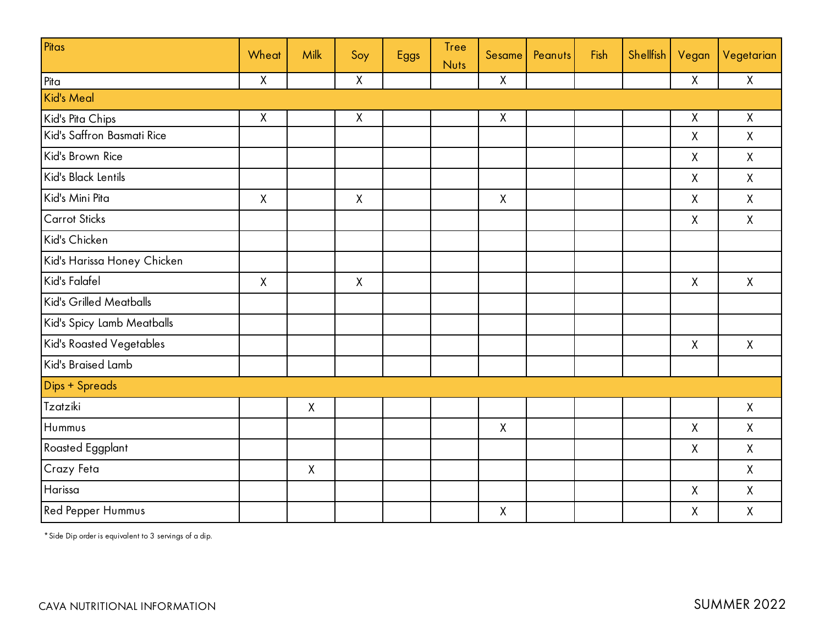| Pitas                       | Wheat              | Milk        | Soy          | Eggs | <b>Tree</b><br><b>Nuts</b> | Sesame       | Peanuts | Fish | Shellfish | Vegan        | Vegetarian         |
|-----------------------------|--------------------|-------------|--------------|------|----------------------------|--------------|---------|------|-----------|--------------|--------------------|
| Pita                        | $\pmb{\mathsf{X}}$ |             | $\mathsf{X}$ |      |                            | $\sf X$      |         |      |           | $\mathsf{X}$ | $\sf X$            |
| Kid's Meal                  |                    |             |              |      |                            |              |         |      |           |              |                    |
| Kid's Pita Chips            | Χ                  |             | $\mathsf{X}$ |      |                            | $\mathsf{X}$ |         |      |           | $\mathsf{X}$ | $\mathsf X$        |
| Kid's Saffron Basmati Rice  |                    |             |              |      |                            |              |         |      |           | $\sf X$      | Χ                  |
| Kid's Brown Rice            |                    |             |              |      |                            |              |         |      |           | $\mathsf{X}$ | Χ                  |
| Kid's Black Lentils         |                    |             |              |      |                            |              |         |      |           | $\mathsf{X}$ | $\mathsf X$        |
| Kid's Mini Pita             | $\pmb{\mathsf{X}}$ |             | $\mathsf X$  |      |                            | $\mathsf X$  |         |      |           | $\mathsf{X}$ | $\sf X$            |
| <b>Carrot Sticks</b>        |                    |             |              |      |                            |              |         |      |           | $\mathsf{X}$ | $\sf X$            |
| Kid's Chicken               |                    |             |              |      |                            |              |         |      |           |              |                    |
| Kid's Harissa Honey Chicken |                    |             |              |      |                            |              |         |      |           |              |                    |
| Kid's Falafel               | $\mathsf X$        |             | $\mathsf{X}$ |      |                            |              |         |      |           | $\mathsf{X}$ | $\mathsf X$        |
| Kid's Grilled Meatballs     |                    |             |              |      |                            |              |         |      |           |              |                    |
| Kid's Spicy Lamb Meatballs  |                    |             |              |      |                            |              |         |      |           |              |                    |
| Kid's Roasted Vegetables    |                    |             |              |      |                            |              |         |      |           | $\sf X$      | $\sf X$            |
| Kid's Braised Lamb          |                    |             |              |      |                            |              |         |      |           |              |                    |
| Dips + Spreads              |                    |             |              |      |                            |              |         |      |           |              |                    |
| Tzatziki                    |                    | $\mathsf X$ |              |      |                            |              |         |      |           |              | $\mathsf X$        |
| Hummus                      |                    |             |              |      |                            | $\mathsf X$  |         |      |           | $\mathsf X$  | $\sf X$            |
| Roasted Eggplant            |                    |             |              |      |                            |              |         |      |           | $\mathsf{X}$ | $\mathsf X$        |
| Crazy Feta                  |                    | $\sf X$     |              |      |                            |              |         |      |           |              | $\mathsf{X}$       |
| Harissa                     |                    |             |              |      |                            |              |         |      |           | $\mathsf X$  | $\mathsf X$        |
| Red Pepper Hummus           |                    |             |              |      |                            | $\mathsf X$  |         |      |           | $\sf X$      | $\pmb{\mathsf{X}}$ |

\*Side Dip order is equivalent to 3 servings of a dip.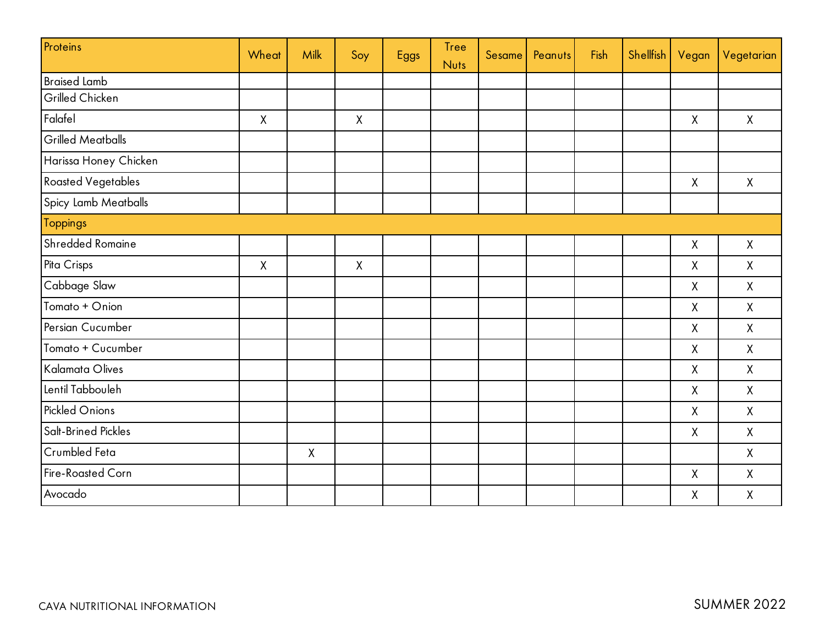| Proteins                  | Wheat        | Milk                      | Soy     | Eggs | <b>Tree</b><br><b>Nuts</b> | Sesame | Peanuts | Fish | Shellfish | Vegan        | Vegetarian         |
|---------------------------|--------------|---------------------------|---------|------|----------------------------|--------|---------|------|-----------|--------------|--------------------|
| <b>Braised Lamb</b>       |              |                           |         |      |                            |        |         |      |           |              |                    |
| Grilled Chicken           |              |                           |         |      |                            |        |         |      |           |              |                    |
| Falafel                   | $\mathsf X$  |                           | $\sf X$ |      |                            |        |         |      |           | $\mathsf X$  | $\mathsf{X}$       |
| <b>Grilled Meatballs</b>  |              |                           |         |      |                            |        |         |      |           |              |                    |
| Harissa Honey Chicken     |              |                           |         |      |                            |        |         |      |           |              |                    |
| <b>Roasted Vegetables</b> |              |                           |         |      |                            |        |         |      |           | $\mathsf{X}$ | $\mathsf{X}$       |
| Spicy Lamb Meatballs      |              |                           |         |      |                            |        |         |      |           |              |                    |
| Toppings                  |              |                           |         |      |                            |        |         |      |           |              |                    |
| Shredded Romaine          |              |                           |         |      |                            |        |         |      |           | $\mathsf{X}$ | $\mathsf{X}$       |
| Pita Crisps               | $\mathsf{X}$ |                           | χ       |      |                            |        |         |      |           | $\sf X$      | $\sf X$            |
| Cabbage Slaw              |              |                           |         |      |                            |        |         |      |           | $\sf X$      | $\mathsf X$        |
| Tomato + Onion            |              |                           |         |      |                            |        |         |      |           | $\mathsf X$  | $\mathsf{X}$       |
| Persian Cucumber          |              |                           |         |      |                            |        |         |      |           | $\sf X$      | $\mathsf X$        |
| Tomato + Cucumber         |              |                           |         |      |                            |        |         |      |           | $\mathsf X$  | $\mathsf X$        |
| Kalamata Olives           |              |                           |         |      |                            |        |         |      |           | $\mathsf{X}$ | $\sf X$            |
| Lentil Tabbouleh          |              |                           |         |      |                            |        |         |      |           | $\sf X$      | $\pmb{\mathsf{X}}$ |
| Pickled Onions            |              |                           |         |      |                            |        |         |      |           | $\sf X$      | $\pmb{\mathsf{X}}$ |
| Salt-Brined Pickles       |              |                           |         |      |                            |        |         |      |           | $\mathsf{X}$ | $\sf X$            |
| Crumbled Feta             |              | $\boldsymbol{\mathsf{X}}$ |         |      |                            |        |         |      |           |              | $\sf X$            |
| Fire-Roasted Corn         |              |                           |         |      |                            |        |         |      |           | $\mathsf X$  | $\pmb{\mathsf{X}}$ |
| Avocado                   |              |                           |         |      |                            |        |         |      |           | $\mathsf X$  | $\mathsf X$        |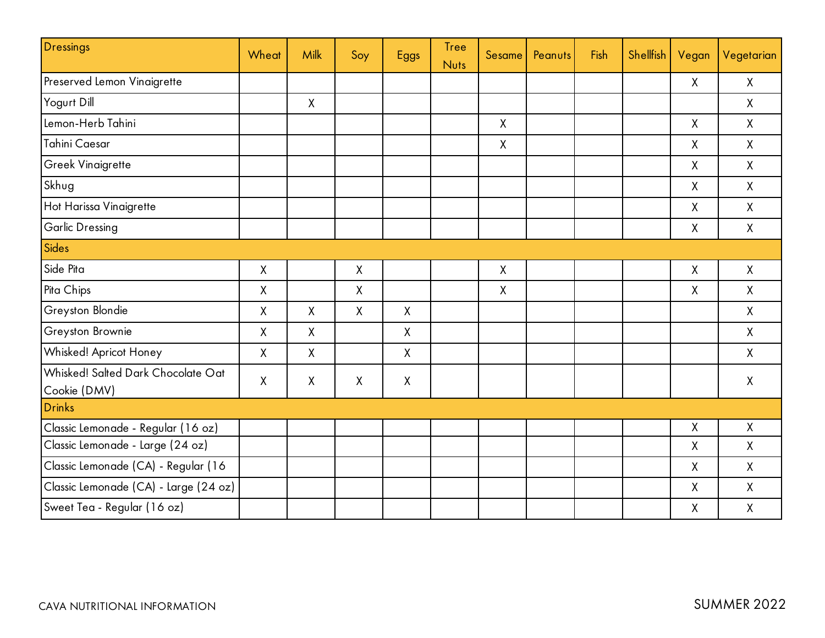| Dressings                             | Wheat       | Milk                      | Soy | <b>Eggs</b>  | <b>Tree</b><br><b>Nuts</b> | Sesame       | Peanuts | Fish | <b>Shellfish</b> | Vegan        | Vegetarian   |
|---------------------------------------|-------------|---------------------------|-----|--------------|----------------------------|--------------|---------|------|------------------|--------------|--------------|
| Preserved Lemon Vinaigrette           |             |                           |     |              |                            |              |         |      |                  | $\mathsf{X}$ | $\mathsf{X}$ |
| Yogurt Dill                           |             | $\mathsf{X}$              |     |              |                            |              |         |      |                  |              | $\sf X$      |
| Lemon-Herb Tahini                     |             |                           |     |              |                            | $\mathsf{X}$ |         |      |                  | χ            | $\sf X$      |
| <b>Tahini Caesar</b>                  |             |                           |     |              |                            | $\mathsf{X}$ |         |      |                  | $\mathsf{X}$ | $\mathsf{X}$ |
| <b>Greek Vinaigrette</b>              |             |                           |     |              |                            |              |         |      |                  | Χ            | $\mathsf{X}$ |
| Skhug                                 |             |                           |     |              |                            |              |         |      |                  | X            | $\mathsf{X}$ |
| Hot Harissa Vinaigrette               |             |                           |     |              |                            |              |         |      |                  | X            | $\sf X$      |
| <b>Garlic Dressing</b>                |             |                           |     |              |                            |              |         |      |                  | X            | $\mathsf X$  |
| Sides                                 |             |                           |     |              |                            |              |         |      |                  |              |              |
| Side Pita                             | χ           |                           | χ   |              |                            | $\mathsf{X}$ |         |      |                  | χ            | $\sf X$      |
| Pita Chips                            | χ           |                           | Χ   |              |                            | X            |         |      |                  | X            | $\mathsf{X}$ |
| Greyston Blondie                      | χ           | $\boldsymbol{\mathsf{X}}$ | Χ   | $\mathsf{X}$ |                            |              |         |      |                  |              | $\sf X$      |
| Greyston Brownie                      | $\mathsf X$ | $\sf X$                   |     | X            |                            |              |         |      |                  |              | $\sf X$      |
| Whisked! Apricot Honey                | $\sf X$     | $\mathsf{X}$              |     | $\mathsf{X}$ |                            |              |         |      |                  |              | $\mathsf{X}$ |
| Whisked! Salted Dark Chocolate Oat    | $\mathsf X$ | $\mathsf X$               | χ   | χ            |                            |              |         |      |                  |              | X            |
| Cookie (DMV)<br><b>Drinks</b>         |             |                           |     |              |                            |              |         |      |                  |              |              |
| Classic Lemonade - Regular (16 oz)    |             |                           |     |              |                            |              |         |      |                  | $\mathsf{X}$ | $\sf X$      |
| Classic Lemonade - Large (24 oz)      |             |                           |     |              |                            |              |         |      |                  | X            | $\mathsf{X}$ |
| Classic Lemonade (CA) - Regular (16   |             |                           |     |              |                            |              |         |      |                  | X            | Χ            |
| Classic Lemonade (CA) - Large (24 oz) |             |                           |     |              |                            |              |         |      |                  | χ            | $\mathsf{X}$ |
| Sweet Tea - Regular (16 oz)           |             |                           |     |              |                            |              |         |      |                  | $\sf X$      | Χ            |